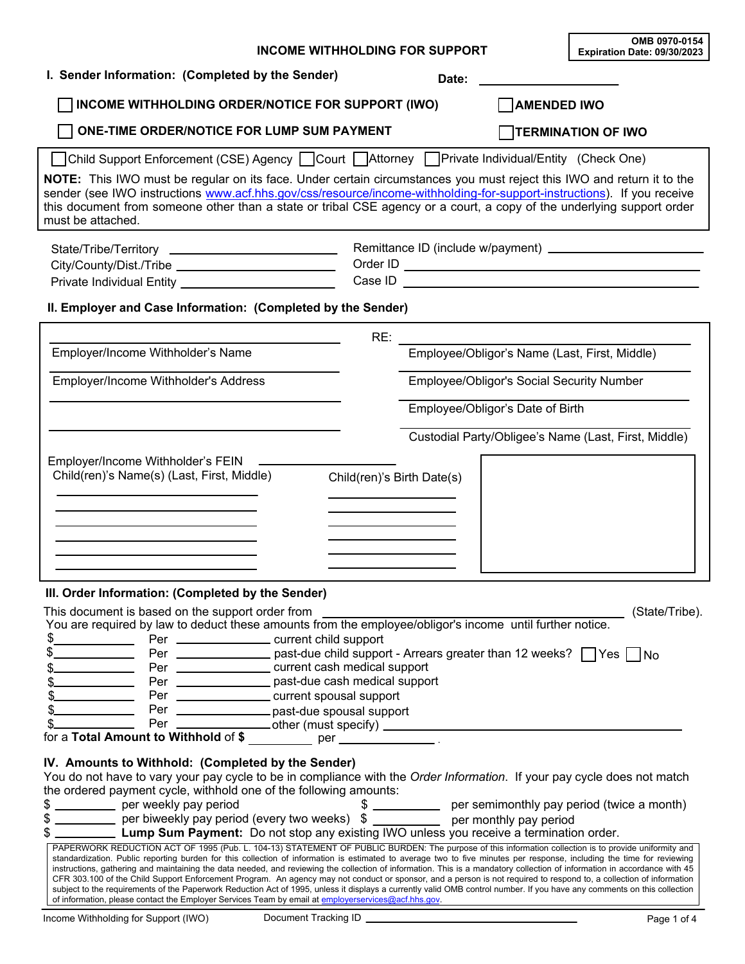| <b>INCOME WITHHOLDING FOR SUPPORT</b>                                                                                                                                                                                                                                                                                                                                                                                                                                                                                                                                                                                                                                                                                                                                                                                                                                                                                                                                                                                                                                                                                                                                                                                                                                                                                                                                                                                                                                                                | OMB 0970-0154<br>Expiration Date: 09/30/2023  |                           |
|------------------------------------------------------------------------------------------------------------------------------------------------------------------------------------------------------------------------------------------------------------------------------------------------------------------------------------------------------------------------------------------------------------------------------------------------------------------------------------------------------------------------------------------------------------------------------------------------------------------------------------------------------------------------------------------------------------------------------------------------------------------------------------------------------------------------------------------------------------------------------------------------------------------------------------------------------------------------------------------------------------------------------------------------------------------------------------------------------------------------------------------------------------------------------------------------------------------------------------------------------------------------------------------------------------------------------------------------------------------------------------------------------------------------------------------------------------------------------------------------------|-----------------------------------------------|---------------------------|
| I. Sender Information: (Completed by the Sender)                                                                                                                                                                                                                                                                                                                                                                                                                                                                                                                                                                                                                                                                                                                                                                                                                                                                                                                                                                                                                                                                                                                                                                                                                                                                                                                                                                                                                                                     | Date:                                         |                           |
| INCOME WITHHOLDING ORDER/NOTICE FOR SUPPORT (IWO)                                                                                                                                                                                                                                                                                                                                                                                                                                                                                                                                                                                                                                                                                                                                                                                                                                                                                                                                                                                                                                                                                                                                                                                                                                                                                                                                                                                                                                                    | <b>AMENDED IWO</b>                            |                           |
| ONE-TIME ORDER/NOTICE FOR LUMP SUM PAYMENT                                                                                                                                                                                                                                                                                                                                                                                                                                                                                                                                                                                                                                                                                                                                                                                                                                                                                                                                                                                                                                                                                                                                                                                                                                                                                                                                                                                                                                                           |                                               | <b>TERMINATION OF IWO</b> |
| Child Support Enforcement (CSE) Agency  Court  Attorney  Private Individual/Entity (Check One)<br>NOTE: This IWO must be regular on its face. Under certain circumstances you must reject this IWO and return it to the<br>sender (see IWO instructions www.acf.hhs.gov/css/resource/income-withholding-for-support-instructions). If you receive<br>this document from someone other than a state or tribal CSE agency or a court, a copy of the underlying support order<br>must be attached.                                                                                                                                                                                                                                                                                                                                                                                                                                                                                                                                                                                                                                                                                                                                                                                                                                                                                                                                                                                                      |                                               |                           |
| State/Tribe/Territory _____________________________<br>City/County/Dist./Tribe ______________________________<br>Private Individual Entity ____________________________<br>II. Employer and Case Information: (Completed by the Sender)                                                                                                                                                                                                                                                                                                                                                                                                                                                                                                                                                                                                                                                                                                                                                                                                                                                                                                                                                                                                                                                                                                                                                                                                                                                              |                                               |                           |
| RE:                                                                                                                                                                                                                                                                                                                                                                                                                                                                                                                                                                                                                                                                                                                                                                                                                                                                                                                                                                                                                                                                                                                                                                                                                                                                                                                                                                                                                                                                                                  |                                               |                           |
| Employer/Income Withholder's Name                                                                                                                                                                                                                                                                                                                                                                                                                                                                                                                                                                                                                                                                                                                                                                                                                                                                                                                                                                                                                                                                                                                                                                                                                                                                                                                                                                                                                                                                    | Employee/Obligor's Name (Last, First, Middle) |                           |
| Employer/Income Withholder's Address                                                                                                                                                                                                                                                                                                                                                                                                                                                                                                                                                                                                                                                                                                                                                                                                                                                                                                                                                                                                                                                                                                                                                                                                                                                                                                                                                                                                                                                                 | Employee/Obligor's Social Security Number     |                           |
|                                                                                                                                                                                                                                                                                                                                                                                                                                                                                                                                                                                                                                                                                                                                                                                                                                                                                                                                                                                                                                                                                                                                                                                                                                                                                                                                                                                                                                                                                                      | Employee/Obligor's Date of Birth              |                           |
| Employer/Income Withholder's FEIN<br>Child(ren)'s Name(s) (Last, First, Middle)<br>Child(ren)'s Birth Date(s)                                                                                                                                                                                                                                                                                                                                                                                                                                                                                                                                                                                                                                                                                                                                                                                                                                                                                                                                                                                                                                                                                                                                                                                                                                                                                                                                                                                        |                                               |                           |
| III. Order Information: (Completed by the Sender)<br>This document is based on the support order from<br>You are required by law to deduct these amounts from the employee/obligor's income until further notice.<br>\$.<br>Per _____________________ current child support<br>Per _________________ past-due child support - Arrears greater than 12 weeks? □ Yes □ No<br>Per __________________ current cash medical support<br><b>Contract Contract Contract</b><br>Per ________________ past-due cash medical support<br>Per __________________ current spousal support<br>Per _________________past-due spousal support                                                                                                                                                                                                                                                                                                                                                                                                                                                                                                                                                                                                                                                                                                                                                                                                                                                                         |                                               | (State/Tribe).            |
| IV. Amounts to Withhold: (Completed by the Sender)<br>You do not have to vary your pay cycle to be in compliance with the Order Information. If your pay cycle does not match<br>the ordered payment cycle, withhold one of the following amounts:<br>per weekly pay period<br>per biweekly pay period (every two weeks) $\frac{1}{2}$ per semimonthly pay period (twice a month)<br><b>Lump Sum Payment:</b> Do not stop any existing IWO unless you receive a termination order.<br>\$ ____________ per weekly pay period<br>PAPERWORK REDUCTION ACT OF 1995 (Pub. L. 104-13) STATEMENT OF PUBLIC BURDEN: The purpose of this information collection is to provide uniformity and<br>standardization. Public reporting burden for this collection of information is estimated to average two to five minutes per response, including the time for reviewing<br>instructions, gathering and maintaining the data needed, and reviewing the collection of information. This is a mandatory collection of information in accordance with 45<br>CFR 303.100 of the Child Support Enforcement Program. An agency may not conduct or sponsor, and a person is not required to respond to, a collection of information<br>subject to the requirements of the Paperwork Reduction Act of 1995, unless it displays a currently valid OMB control number. If you have any comments on this collection<br>of information, please contact the Employer Services Team by email at employerservices@acf.hhs.gov. |                                               |                           |

r

٦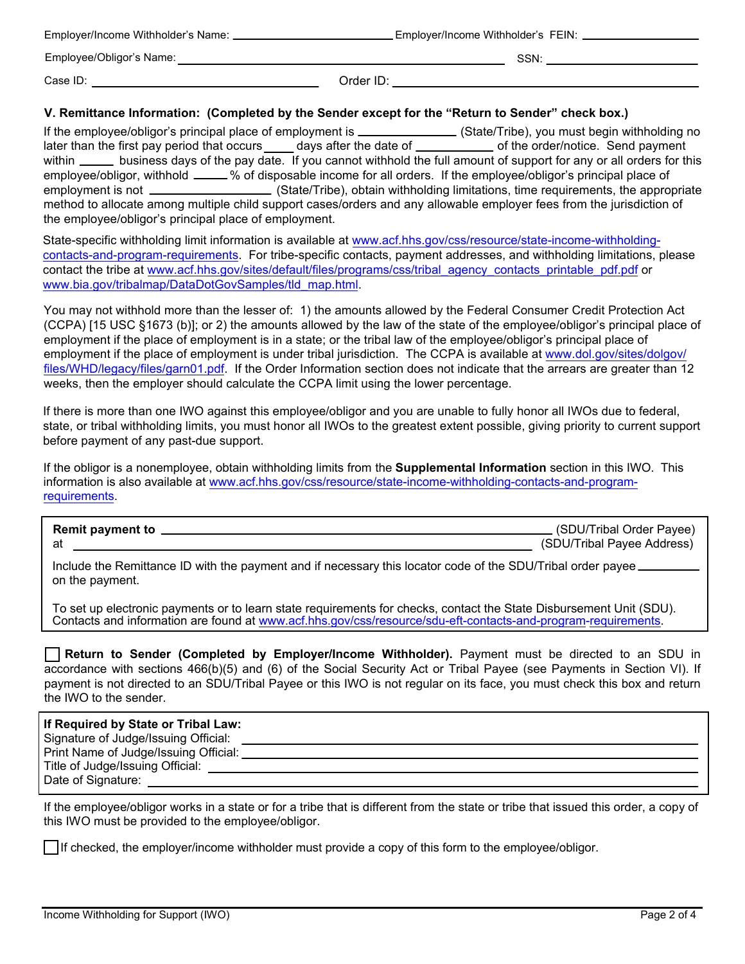| Employer/Income Withholder's Name: _ | . Employer/Income Withholder's FEIN: |      |
|--------------------------------------|--------------------------------------|------|
| Employee/Obligor's Name:             |                                      | SSN: |
| Case ID:                             | Order ID:                            |      |

## **V. Remittance Information: (Completed by the Sender except for the "Return to Sender" check box.)**

If the employee/obligor's principal place of employment is \_\_\_\_\_\_\_\_\_\_\_\_\_\_(State/Tribe), you must begin withholding no later than the first pay period that occurs days after the date of <u>comecanon</u> of the order/notice. Send payment within \_\_\_\_\_\_ business days of the pay date. If you cannot withhold the full amount of support for any or all orders for this employee/obligor, withhold \_\_\_\_\_% of disposable income for all orders. If the employee/obligor's principal place of employment is not **(State/Tribe)**, obtain withholding limitations, time requirements, the appropriate method to allocate among multiple child support cases/orders and any allowable employer fees from the jurisdiction of the employee/obligor's principal place of employment.

State-specific withholding limit information is available at www.acf.hhs.gov/css/resource/state-income-withholding[contacts-and-program-requirements. For tribe-specific contacts, payment addresses, and withholding limitations, p](https://www.acf.hhs.gov/css/contact-information/state-income-withholding-contacts-and-program-requirements)lease contact the tribe at [www.acf.hhs.gov/sites/default/files/programs/css/tribal\\_agency\\_contacts\\_printable\\_pdf.pdf](https://www.acf.hhs.gov/css/training-technical-assistance/tribal-child-support-agency-contacts) or [www.bia.gov/tribalmap/DataDotGovSamples/tld\\_map.html.](https://www.bia.gov/tribalmap/DataDotGovSamples/tld_map.html)

You may not withhold more than the lesser of: 1) the amounts allowed by the Federal Consumer Credit Protection Act (CCPA) [15 USC §1673 (b)]; or 2) the amounts allowed by the law of the state of the employee/obligor's principal place of employment if the place of employment is in a state; or the tribal law of the employee/obligor's principal place of employment if the place of employment is under tribal jurisdiction. The CCPA is available at www.dol.gov/sites/dolgov/ [files/WHD/legacy/files/garn01.pdf. If the Order Information section does not indicate that the arrears are greater than 1](https://www.dol.gov/sites/dolgov/files/WHD/legacy/files/garn01.pdf)2 weeks, then the employer should calculate the CCPA limit using the lower percentage.

If there is more than one IWO against this employee/obligor and you are unable to fully honor all IWOs due to federal, state, or tribal withholding limits, you must honor all IWOs to the greatest extent possible, giving priority to current support before payment of any past-due support.

If the obligor is a nonemployee, obtain withholding limits from the **Supplemental Information** section in this IWO. This information is also available at [www.acf.hhs.gov/css/resource/state-income-withholding-contacts-and-program](https://www.acf.hhs.gov/css/contact-information/state-income-withholding-contacts-and-program-requirements)requirements.

| <b>Remit payment to</b> | (SDU/Tribal Order Payee)   |
|-------------------------|----------------------------|
|                         | (SDU/Tribal Payee Address) |

Include the Remittance ID with the payment and if necessary this locator code of the SDU/Tribal order payee on the payment.

To set up electronic payments or to learn state requirements for checks, contact the State Disbursement Unit (SDU). Contacts and information are found at [www.acf.hhs.gov/css/resource/sdu-eft-contacts-and-program-requirements](https://www.acf.hhs.gov/css/contact-information/sdu-eft-contacts-and-program-requirements).

|                        |  |  |  |  | Return to Sender (Completed by Employer/Income Withholder). Payment must be directed to an SDU in                         |
|------------------------|--|--|--|--|---------------------------------------------------------------------------------------------------------------------------|
|                        |  |  |  |  | accordance with sections 466(b)(5) and (6) of the Social Security Act or Tribal Payee (see Payments in Section VI). If    |
|                        |  |  |  |  | payment is not directed to an SDU/Tribal Payee or this IWO is not regular on its face, you must check this box and return |
| the IWO to the sender. |  |  |  |  |                                                                                                                           |

| If Required by State or Tribal Law:   |  |
|---------------------------------------|--|
| Signature of Judge/Issuing Official:  |  |
| Print Name of Judge/Issuing Official: |  |
| Title of Judge/Issuing Official:      |  |
| Date of Signature:                    |  |
|                                       |  |

If the employee/obligor works in a state or for a tribe that is different from the state or tribe that issued this order, a copy of this IWO must be provided to the employee/obligor.

If checked, the employer/income withholder must provide a copy of this form to the employee/obligor.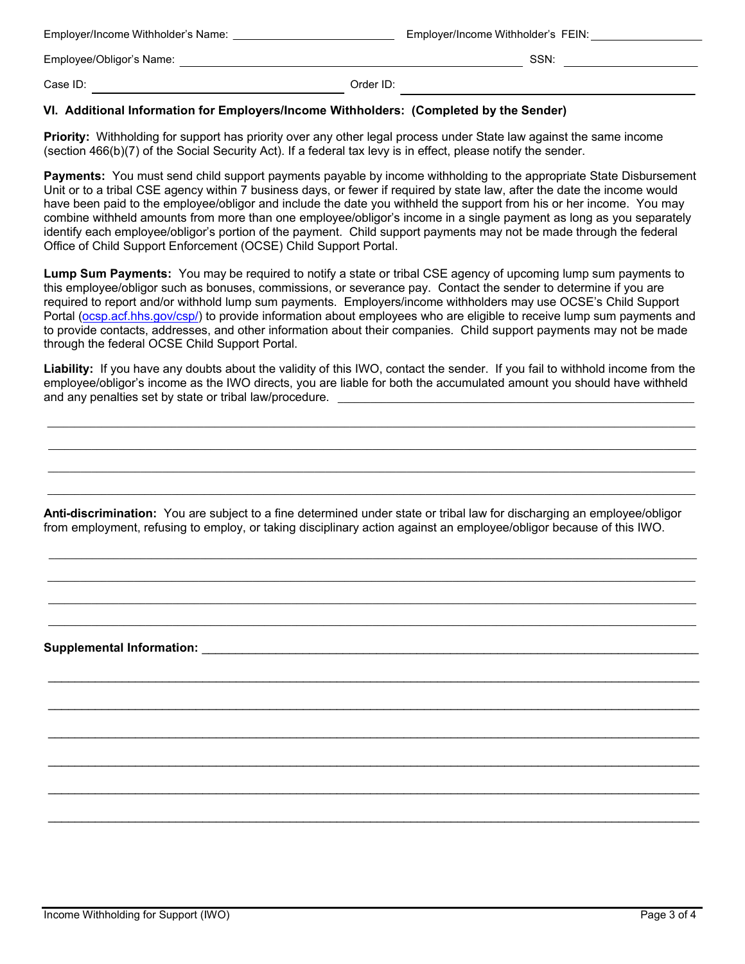| Employer/Income Withholder's Name: | Employer/Income Withholder's FEIN: |      |
|------------------------------------|------------------------------------|------|
| Employee/Obligor's Name:           |                                    | SSN: |
| Case ID:                           | Order ID:                          |      |

## **VI. Additional Information for Employers/Income Withholders: (Completed by the Sender)**

**Priority:** Withholding for support has priority over any other legal process under State law against the same income (section 466(b)(7) of the Social Security Act). If a federal tax levy is in effect, please notify the sender.

**Payments:** You must send child support payments payable by income withholding to the appropriate State Disbursement Unit or to a tribal CSE agency within 7 business days, or fewer if required by state law, after the date the income would have been paid to the employee/obligor and include the date you withheld the support from his or her income. You may combine withheld amounts from more than one employee/obligor's income in a single payment as long as you separately identify each employee/obligor's portion of the payment. Child support payments may not be made through the federal Office of Child Support Enforcement (OCSE) Child Support Portal.

**Lump Sum Payments:** You may be required to notify a state or tribal CSE agency of upcoming lump sum payments to this employee/obligor such as bonuses, commissions, or severance pay. Contact the sender to determine if you are required to report and/or withhold lump sum payments. Employers/income withholders may use OCSE's Child Support Portal ([ocsp.acf.hhs.gov/csp/](https://ocsp.acf.hhs.gov/csp/)) to provide information about employees who are eligible to receive lump sum payments and to provide contacts, addresses, and other information about their companies. Child support payments may not be made through the federal OCSE Child Support Portal.

**Liability:** If you have any doubts about the validity of this IWO, contact the sender. If you fail to withhold income from the employee/obligor's income as the IWO directs, you are liable for both the accumulated amount you should have withheld and any penalties set by state or tribal law/procedure.

\_\_\_\_\_\_\_\_\_\_\_\_\_\_\_\_\_\_\_\_\_\_\_\_\_\_\_\_\_\_\_\_\_\_\_\_\_\_\_\_\_\_\_\_\_\_\_\_\_\_\_\_\_\_\_\_\_\_\_\_\_\_\_\_\_\_\_\_\_\_\_\_\_\_\_\_\_\_\_\_\_\_\_\_\_\_\_\_\_\_\_\_\_\_\_\_\_\_\_\_\_\_\_\_\_\_\_\_\_\_\_\_\_\_\_\_\_\_\_\_ \_\_\_\_\_\_\_\_\_\_\_\_\_\_\_\_\_\_\_\_\_\_\_\_\_\_\_\_\_\_\_\_\_\_\_\_\_\_\_\_\_\_\_\_\_\_\_\_\_\_\_\_\_\_\_\_\_\_\_\_\_\_\_\_\_\_\_\_\_\_\_\_\_\_\_\_\_\_\_\_\_\_\_\_\_\_\_\_\_\_\_\_\_\_\_\_\_\_\_\_\_\_\_\_\_\_\_\_\_\_\_\_\_\_\_\_\_\_\_\_  $\Box$ \_\_\_\_\_\_\_\_\_\_\_\_\_\_\_\_\_\_\_\_\_\_\_\_\_\_\_\_\_\_\_\_\_\_\_\_\_\_\_\_\_\_\_\_\_\_\_\_\_\_\_\_\_\_\_\_\_\_\_\_\_\_\_\_\_\_\_\_\_\_\_\_\_\_\_\_\_\_\_\_\_\_\_\_\_\_\_\_\_\_\_\_\_\_\_\_\_\_\_\_\_\_\_\_\_\_\_\_\_\_\_\_\_\_\_\_\_\_\_\_

**Anti-discrimination:** You are subject to a fine determined under state or tribal law for discharging an employee/obligor from employment, refusing to employ, or taking disciplinary action against an employee/obligor because of this IWO.

\_\_\_\_\_\_\_\_\_\_\_\_\_\_\_\_\_\_\_\_\_\_\_\_\_\_\_\_\_\_\_\_\_\_\_\_\_\_\_\_\_\_\_\_\_\_\_\_\_\_\_\_\_\_\_\_\_\_\_\_\_\_\_\_\_\_\_\_\_\_\_\_\_\_\_\_\_\_\_\_\_\_\_\_\_\_\_\_\_\_\_\_\_\_\_\_\_\_\_\_\_\_\_\_\_\_\_\_\_\_\_\_\_\_\_\_\_\_\_\_ \_\_\_\_\_\_\_\_\_\_\_\_\_\_\_\_\_\_\_\_\_\_\_\_\_\_\_\_\_\_\_\_\_\_\_\_\_\_\_\_\_\_\_\_\_\_\_\_\_\_\_\_\_\_\_\_\_\_\_\_\_\_\_\_\_\_\_\_\_\_\_\_\_\_\_\_\_\_\_\_\_\_\_\_\_\_\_\_\_\_\_\_\_\_\_\_\_\_\_\_\_\_\_\_\_\_\_\_\_\_\_\_\_\_\_\_\_\_\_\_  $\_$  , and the state of the state of the state of the state of the state of the state of the state of the state of the state of the state of the state of the state of the state of the state of the state of the state of the \_\_\_\_\_\_\_\_\_\_\_\_\_\_\_\_\_\_\_\_\_\_\_\_\_\_\_\_\_\_\_\_\_\_\_\_\_\_\_\_\_\_\_\_\_\_\_\_\_\_\_\_\_\_\_\_\_\_\_\_\_\_\_\_\_\_\_\_\_\_\_\_\_\_\_\_\_\_\_\_\_\_\_\_\_\_\_\_\_\_\_\_\_\_\_\_\_\_\_\_\_\_\_\_\_\_\_\_\_\_\_\_\_\_\_\_\_\_\_\_

\_\_\_\_\_\_\_\_\_\_\_\_\_\_\_\_\_\_\_\_\_\_\_\_\_\_\_\_\_\_\_\_\_\_\_\_\_\_\_\_\_\_\_\_\_\_\_\_\_\_\_\_\_\_\_\_\_\_\_\_\_\_\_\_\_\_\_\_\_\_\_\_\_\_\_\_\_\_\_\_\_\_\_\_\_\_\_\_\_\_\_\_\_\_\_\_\_

\_\_\_\_\_\_\_\_\_\_\_\_\_\_\_\_\_\_\_\_\_\_\_\_\_\_\_\_\_\_\_\_\_\_\_\_\_\_\_\_\_\_\_\_\_\_\_\_\_\_\_\_\_\_\_\_\_\_\_\_\_\_\_\_\_\_\_\_\_\_\_\_\_\_\_\_\_\_\_\_\_\_\_\_\_\_\_\_\_\_\_\_\_\_\_\_\_

\_\_\_\_\_\_\_\_\_\_\_\_\_\_\_\_\_\_\_\_\_\_\_\_\_\_\_\_\_\_\_\_\_\_\_\_\_\_\_\_\_\_\_\_\_\_\_\_\_\_\_\_\_\_\_\_\_\_\_\_\_\_\_\_\_\_\_\_\_\_\_\_\_\_\_\_\_\_\_\_\_\_\_\_\_\_\_\_\_\_\_\_\_\_\_\_\_

\_\_\_\_\_\_\_\_\_\_\_\_\_\_\_\_\_\_\_\_\_\_\_\_\_\_\_\_\_\_\_\_\_\_\_\_\_\_\_\_\_\_\_\_\_\_\_\_\_\_\_\_\_\_\_\_\_\_\_\_\_\_\_\_\_\_\_\_\_\_\_\_\_\_\_\_\_\_\_\_\_\_\_\_\_\_\_\_\_\_\_\_\_\_\_\_\_

\_\_\_\_\_\_\_\_\_\_\_\_\_\_\_\_\_\_\_\_\_\_\_\_\_\_\_\_\_\_\_\_\_\_\_\_\_\_\_\_\_\_\_\_\_\_\_\_\_\_\_\_\_\_\_\_\_\_\_\_\_\_\_\_\_\_\_\_\_\_\_\_\_\_\_\_\_\_\_\_\_\_\_\_\_\_\_\_\_\_\_\_\_\_\_\_\_

\_\_\_\_\_\_\_\_\_\_\_\_\_\_\_\_\_\_\_\_\_\_\_\_\_\_\_\_\_\_\_\_\_\_\_\_\_\_\_\_\_\_\_\_\_\_\_\_\_\_\_\_\_\_\_\_\_\_\_\_\_\_\_\_\_\_\_\_\_\_\_\_\_\_\_\_\_\_\_\_\_\_\_\_\_\_\_\_\_\_\_\_\_\_\_\_\_

## **Supplemental Information:** \_\_\_\_\_\_\_\_\_\_\_\_\_\_\_\_\_\_\_\_\_\_\_\_\_\_\_\_\_\_\_\_\_\_\_\_\_\_\_\_\_\_\_\_\_\_\_\_\_\_\_\_\_\_\_\_\_\_\_\_\_\_\_\_\_\_\_\_\_\_\_\_\_\_